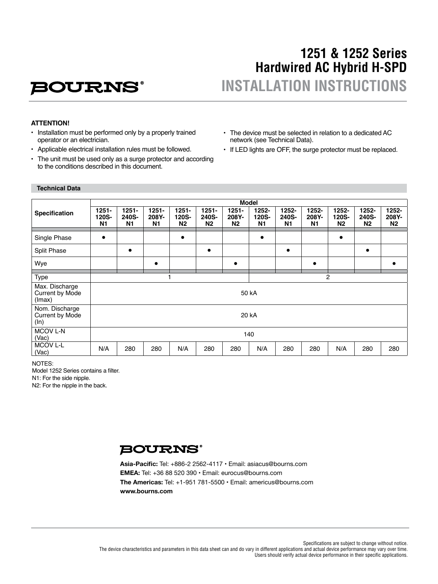# **1251 & 1252 Series Hardwired AC Hybrid H-SPD INSTALLATION INSTRUCTIONS**

### **ATTENTION!**

- Installation must be performed only by a properly trained operator or an electrician.
- Applicable electrical installation rules must be followed.

**BOURNS®** 

- The unit must be used only as a surge protector and according to the conditions described in this document.
- The device must be selected in relation to a dedicated AC network (see Technical Data).
- If LED lights are OFF, the surge protector must be replaced.

### **Technical Data**

|                                             | <b>Model</b>                        |                                     |                                     |                                     |                                     |                                     |                                  |                      |                         |                                  |                                  |                             |
|---------------------------------------------|-------------------------------------|-------------------------------------|-------------------------------------|-------------------------------------|-------------------------------------|-------------------------------------|----------------------------------|----------------------|-------------------------|----------------------------------|----------------------------------|-----------------------------|
| <b>Specification</b>                        | $1251 -$<br>120S-<br>N <sub>1</sub> | $1251 -$<br>240S-<br>N <sub>1</sub> | $1251 -$<br>208Y-<br>N <sub>1</sub> | $1251 -$<br>120S-<br>N <sub>2</sub> | $1251 -$<br>240S-<br>N <sub>2</sub> | $1251 -$<br>208Y-<br>N <sub>2</sub> | 1252-<br>120S-<br>N <sub>1</sub> | 1252-<br>240S-<br>N1 | $1252 -$<br>208Y-<br>N1 | 1252-<br>120S-<br>N <sub>2</sub> | 1252-<br>240S-<br>N <sub>2</sub> | 1252-<br>208Y-<br><b>N2</b> |
| Single Phase                                | $\bullet$                           |                                     |                                     |                                     |                                     |                                     | $\bullet$                        |                      |                         | $\bullet$                        |                                  |                             |
| <b>Split Phase</b>                          |                                     | $\bullet$                           |                                     |                                     | $\bullet$                           |                                     |                                  | $\bullet$            |                         |                                  | $\bullet$                        |                             |
| Wye                                         |                                     |                                     | $\bullet$                           |                                     |                                     | $\bullet$                           |                                  |                      | $\bullet$               |                                  |                                  |                             |
| Type                                        | $\overline{2}$                      |                                     |                                     |                                     |                                     |                                     |                                  |                      |                         |                                  |                                  |                             |
| Max. Discharge<br>Current by Mode<br>(Imax) | 50 kA                               |                                     |                                     |                                     |                                     |                                     |                                  |                      |                         |                                  |                                  |                             |
| Nom. Discharge<br>Current by Mode<br>(ln)   | 20 kA                               |                                     |                                     |                                     |                                     |                                     |                                  |                      |                         |                                  |                                  |                             |
| MCOV L-N<br>(Vac)                           | 140                                 |                                     |                                     |                                     |                                     |                                     |                                  |                      |                         |                                  |                                  |                             |
| <b>MCOV L-L</b><br>(Vac)                    | N/A                                 | 280                                 | 280                                 | N/A                                 | 280                                 | 280                                 | N/A                              | 280                  | 280                     | N/A                              | 280                              | 280                         |

NOTES:

Model 1252 Series contains a filter.

N1: For the side nipple.

N2: For the nipple in the back.

### **BOURNS®**

**Asia-Pacific:** Tel: +886-2 2562-4117 • Email: asiacus@bourns.com **EMEA:** Tel: +36 88 520 390 • Email: eurocus@bourns.com **The Americas:** Tel: +1-951 781-5500 • Email: americus@bourns.com **www.bourns.com**